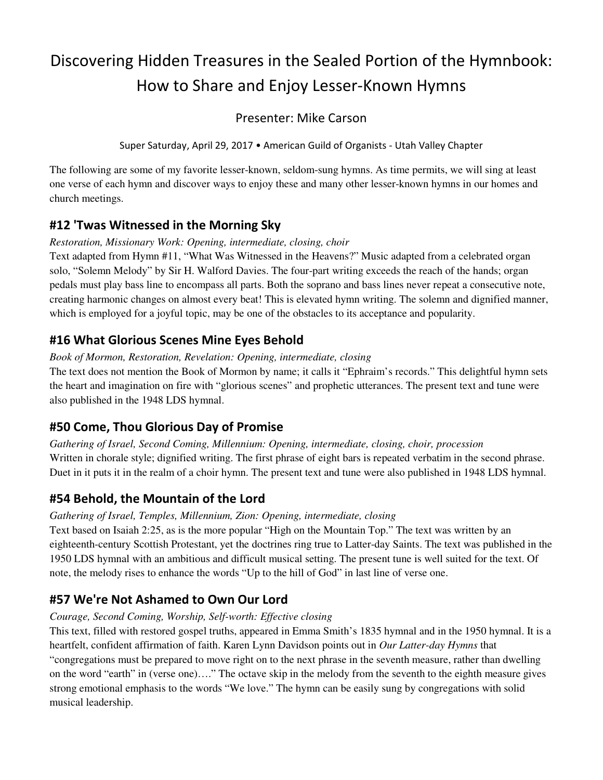# Discovering Hidden Treasures in the Sealed Portion of the Hymnbook: How to Share and Enjoy Lesser-Known Hymns

## Presenter: Mike Carson

Super Saturday, April 29, 2017 • American Guild of Organists - Utah Valley Chapter

The following are some of my favorite lesser-known, seldom-sung hymns. As time permits, we will sing at least one verse of each hymn and discover ways to enjoy these and many other lesser-known hymns in our homes and church meetings.

# **#12 'Twas Witnessed in the Morning Sky**

*Restoration, Missionary Work: Opening, intermediate, closing, choir*

Text adapted from Hymn #11, "What Was Witnessed in the Heavens?" Music adapted from a celebrated organ solo, "Solemn Melody" by Sir H. Walford Davies. The four-part writing exceeds the reach of the hands; organ pedals must play bass line to encompass all parts. Both the soprano and bass lines never repeat a consecutive note, creating harmonic changes on almost every beat! This is elevated hymn writing. The solemn and dignified manner, which is employed for a joyful topic, may be one of the obstacles to its acceptance and popularity.

# **#16 What Glorious Scenes Mine Eyes Behold**

*Book of Mormon, Restoration, Revelation: Opening, intermediate, closing* 

The text does not mention the Book of Mormon by name; it calls it "Ephraim's records." This delightful hymn sets the heart and imagination on fire with "glorious scenes" and prophetic utterances. The present text and tune were also published in the 1948 LDS hymnal.

# **#50 Come, Thou Glorious Day of Promise**

*Gathering of Israel, Second Coming, Millennium: Opening, intermediate, closing, choir, procession* Written in chorale style; dignified writing. The first phrase of eight bars is repeated verbatim in the second phrase. Duet in it puts it in the realm of a choir hymn. The present text and tune were also published in 1948 LDS hymnal.

# **#54 Behold, the Mountain of the Lord**

#### *Gathering of Israel, Temples, Millennium, Zion: Opening, intermediate, closing*

Text based on Isaiah 2:25, as is the more popular "High on the Mountain Top." The text was written by an eighteenth-century Scottish Protestant, yet the doctrines ring true to Latter-day Saints. The text was published in the 1950 LDS hymnal with an ambitious and difficult musical setting. The present tune is well suited for the text. Of note, the melody rises to enhance the words "Up to the hill of God" in last line of verse one.

# **#57 We're Not Ashamed to Own Our Lord**

#### *Courage, Second Coming, Worship, Self-worth: Effective closing*

This text, filled with restored gospel truths, appeared in Emma Smith's 1835 hymnal and in the 1950 hymnal. It is a heartfelt, confident affirmation of faith. Karen Lynn Davidson points out in *Our Latter-day Hymns* that "congregations must be prepared to move right on to the next phrase in the seventh measure, rather than dwelling on the word "earth" in (verse one)…." The octave skip in the melody from the seventh to the eighth measure gives strong emotional emphasis to the words "We love." The hymn can be easily sung by congregations with solid musical leadership.